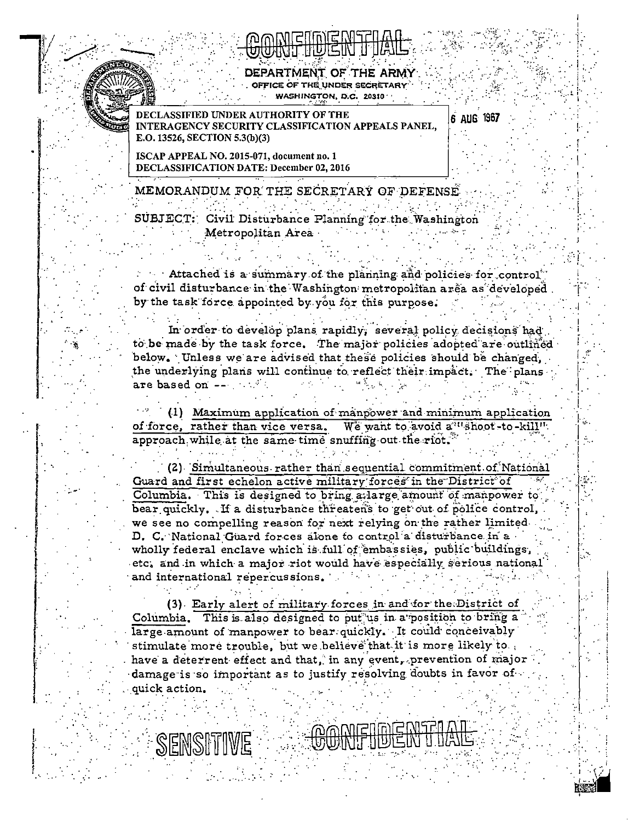

DEPARTMENT OF THE ARMY OFFICE OF THE UNDER SECRETARY WASHINGTON, D.C. 20310  $^{\prime}$ 

**IFIED INDER AUTHORITY OF THE** INTERAGENCY SECURITY CLASSIFICATION APPEALS PANEL. E.O. 13526, SECTION 5.3(b)(3)

6 AUG 1967

ISCAP APPEAL NO. 2015-071, document no. 1 DECLASSIFICATION DATE: December 02, 2016

MEMORANDUM FOR THE SECRETARY OF DEFENSE

SUBJECT: Civil Disturbance Planning for the Washington Metropolitan Area

Attached is a summary of the planning and policies for control of civil disturbance in the Washington metropolitan area as developed. by the task force appointed by you for this purpose.

In order to develop plans rapidly, several policy decisions had to be made by the task force. The major policies adopted are outlined below. Unless we are advised that these policies should be changed. the underlying plans will continue to reflect their impact. The plans are based on  $--$ 

(1) Maximum application of manpower and minimum application We want to avoid a "shoot-to-kill". of force, rather than vice versa.  $\tt{approx}$  approach while at the same time snuffing out the riot.

(2) Simultaneous rather than sequential commitment of National Guard and first echelon active military forces in the District of Columbia. This is designed to bring a large amount of manpower to bear quickly. If a disturbance threatens to get out of police control, we see no compelling reason for next relying on the rather limited. D. C. National Guard forces alone to control a disturbance in a wholly federal enclave which is full of embassies, public buildings, etc. and in which a major riot would have especially serious national and international repercussions.

(3) Early alert of military forces in and for the District of Columbia. This is also designed to put us in a position to bring a large amount of manpower to bear quickly. It could conceivably stimulate more trouble, but we believe that it is more likely to. have a deterrent effect and that, in any event, prevention of major damage is so important as to justify resolving doubts in favor of quick action.

SENSITIVE

**MAMENWE**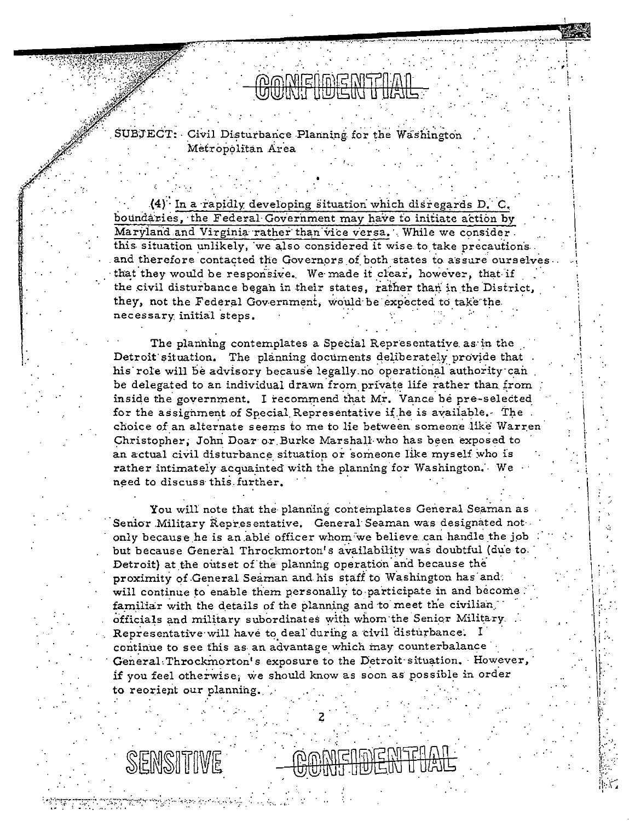## *MERIANE ANTERAT* १९७०९९ नाएकदाल

SUBJECT: Civil Disturbance Planning for the Washington Metropolitan Area

(4) In a rapidly developing situation which disregards D. C. boundaries, the Federal Government may have to initiate action by Maryland and Virginia rather than vice versa. While we consider. this situation unlikely, we also considered it wise to take precautions. and therefore contacted the Governors of both states to assure ourselves. that they would be responsive. We made it clear, however, that if the civil disturbance began in their states, rather than in the District, they, not the Federal Government, would be expected to take the necessary initial steps.

The planning contemplates a Special Representative as in the Detroit situation. The planning documents deliberately provide that his role will be advisory because legally no operational authority can be delegated to an individual drawn from private life rather than from inside the government. I recommend that Mr. Vance be pre-selected for the assignment of Special Representative if he is available. The choice of an alternate seems to me to lie between someone like Warren Christopher, John Doar or Burke Marshall who has been exposed to an actual civil disturbance situation or someone like myself who is rather intimately acquainted with the planning for Washington. We need to discuss this further.

You will note that the planning contemplates General Seaman as Senior Military Representative. General Seaman was designated not only because he is an able officer whom we believe can handle the job but because General Throckmorton's availability was doubtful (due to. Detroit) at the outset of the planning operation and because the proximity of General Seaman and his staff to Washington has and: will continue to enable them personally to participate in and become familiar with the details of the planning and to meet the civilian. officials and military subordinates with whom the Senior Military. Representative will have to deal during a civil disturbance. I continue to see this as an advantage which may counterbalance General: Throckmorton's exposure to the Detroit situation. However, if you feel otherwise, we should know as soon as possible in order to reorient our planning.

SENSITIVE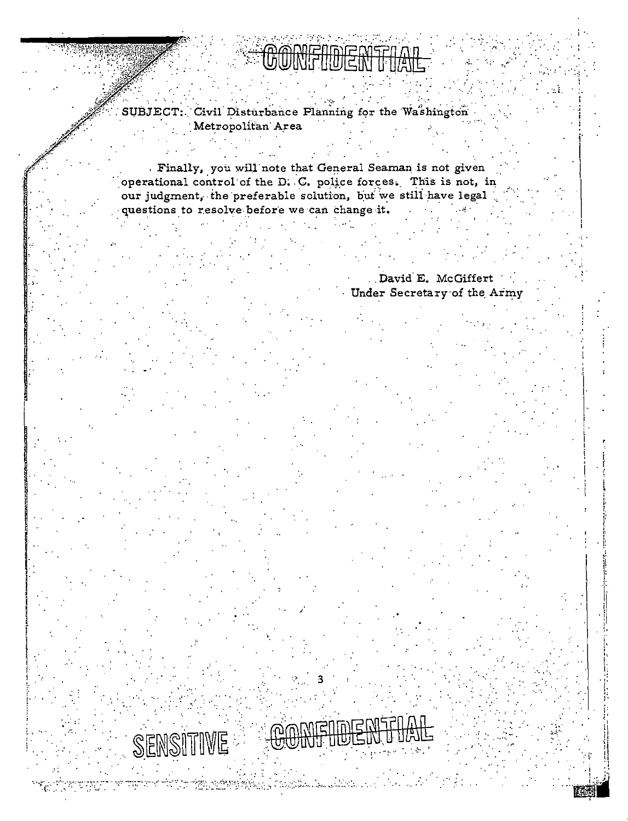$\sim 100$ SUBJECT: Civil Disturbance Planning for the Washington Metropolitan Area

Finally, you will note that General Seaman is not given operational control of the D. C. police forces. This is not, in our judgment, the preferable solution, but we still have legal questions to resolve before we can change it.

> . David E. McGiffert Under Secretary of the Army

SENSITIVE

tin vilige fra 1999 og det ble stil de de de de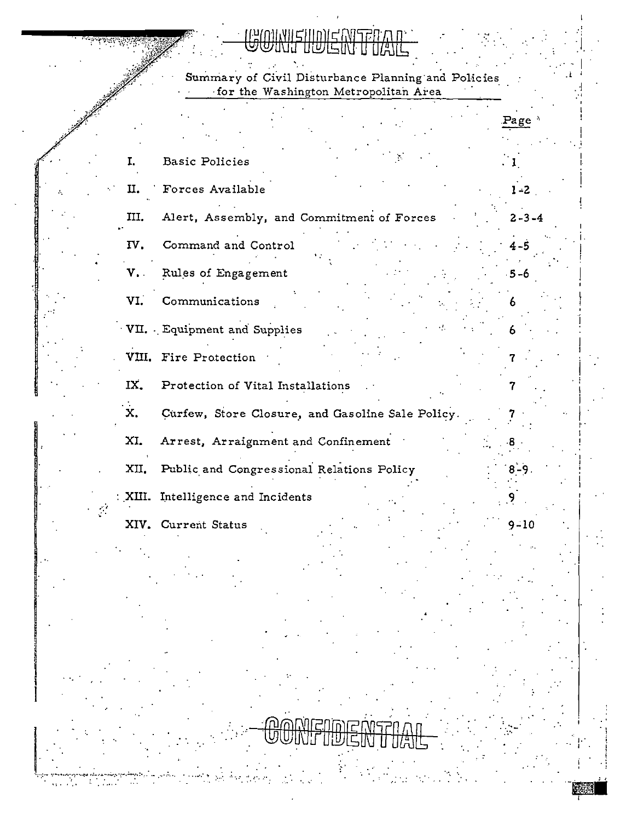## **ENISER**

Summary of Civil Disturbance Planning and Policies<br>for the Washington Metropolitan Area

| I.             | <b>Basic Policies</b>                            |             |
|----------------|--------------------------------------------------|-------------|
| П.             | Forces Available                                 | $1 - 2$     |
| III.           | Alert, Assembly, and Commitment of Forces        | $2 - 3 - 4$ |
| IV.            | Command and Control                              | $4 - 5$     |
| $V_{\bullet}$  | Rules of Engagement                              | $-5-6$      |
| VI.            | Communications                                   |             |
|                | VII. Equipment and Supplies                      |             |
|                | VIII. Fire Protection                            |             |
| IX.            | Protection of Vital Installations                |             |
| $\mathbf{x}$ . | Curfew, Store Closure, and Gasoline Sale Policy. |             |
| XI.            | Arrest, Arraignment and Confinement              |             |
| XII.           | Public and Congressional Relations Policy        | $8 - 9$ .   |
|                | : XIII. Intelligence and Incidents               |             |
|                | XIV. Current Status                              | $9 - 10$    |

 $\frac{1}{2}$ 

 $\mathbf{Q}$  .

 $\sim 100$ 

÷. time.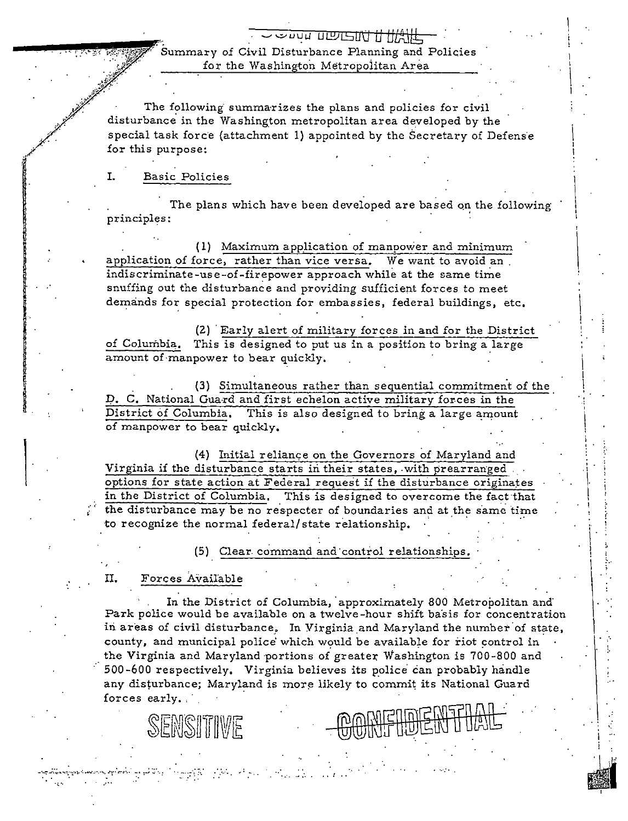## <u>Sour TEDESTA HAVE</u> Summary of Civil Disturbance Planning and Policies for the Washington Metropolitan Area

The following summarizes the plans and policies for civil disturbance in the Washington metropolitan area developed by the special task force (attachment 1) appointed by the Secretary of Defense for this purpose:

#### T. **Basic Policies**

The plans which have been developed are based on the following principles:

(1) Maximum application of manpower and minimum application of force, rather than vice versa. We want to avoid an indiscriminate-use-of-firepower approach while at the same time snuffing out the disturbance and providing sufficient forces to meet demands for special protection for embassies, federal buildings, etc.

(2) Early alert of military forces in and for the District of Columbia. This is designed to put us in a position to bring a large amount of manpower to bear quickly.

(3) Simultaneous rather than sequential commitment of the D. C. National Guard and first echelon active military forces in the District of Columbia. This is also designed to bring a large amount of manpower to bear quickly.

(4) Initial reliance on the Governors of Maryland and Virginia if the disturbance starts in their states, with prearranged. options for state action at Federal request if the disturbance originates in the District of Columbia. This is designed to overcome the fact that the disturbance may be no respecter of boundaries and at the same time to recognize the normal federal/state relationship.

(5) Clear command and control relationships.

Π. Forces Available

SENSITIME

좋던 공장 전쟁 시절되다.

In the District of Columbia, approximately 800 Metropolitan and Park police would be available on a twelve-hour shift basis for concentration in areas of civil disturbance. In Virginia and Maryland the number of state, county, and municipal police which would be available for riot control in the Virginia and Maryland portions of greater Washington is 700-800 and 500-600 respectively. Virginia believes its police can probably handle any disturbance; Maryland is more likely to commit its National Guard forces early.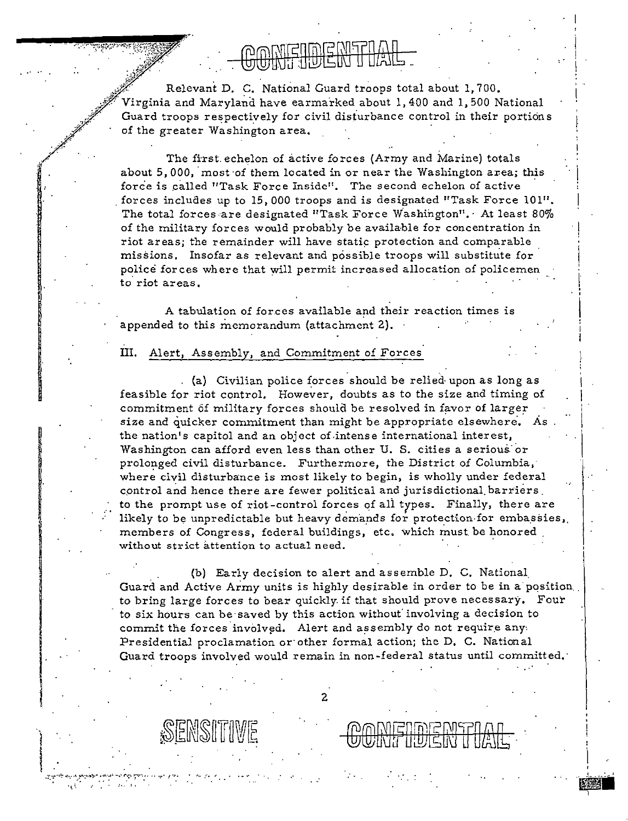# $\cap$  which in late with  $\cap$

Relevant D. C. National Guard troops total about 1, 700. Virginia and Maryland have earmarked about 1, 400 and 1, 500 National Guard troops respectively for civil disturbance control in their portions  $\mathscr{V}$  of the greater Washington area.  $\mathscr{J}$  :

The first echelon of active forces (Army and Marine) totals about 5,000, most of them located in or near the Washington area; this force is called "Task Force Inside". The second echelon of active forces includes up to 15,000 troops and is designated "Task Force  $101$ ". The total forces are designated "Task Force Washington". At least 80% of the military forces would probably be available for concentration in riot areas; the remainder will have static protection and comparable missions. Insofar as relevant and possible troops will substitute for police forces where that will permit increased allocation of policemen to riot areas.

A tabulation of forces available and their reaction times is appended to this memorandum (attachment 2).

#### III. Alert, Assembly, and Commitment of Forces

(a) Civilian police forces should be relied· upon as long as feasible for riot control. However, doubts as to the size and timing of commitment of military forces should be resolved in favor of larger size and quicker commitment than might be appropriate elsewhere. As the nation's capitol and an object of.intense international interest, Washington can afford even less than other U. S. cities a serious: or prolonged civil disturbance. Furthermore, the District of Colurnbia, where civil disturbance is most likely to begin, is wholly under federal control and hence there are fewer political and jurisdictional barriers to the prompt use of riot-control forces of all types. Finally, there are likely to be unpredictable but heavy demands for protection-for embassies, members of Congress, federal buildings, etc. which must be honored without strict attention to actual need.

 $\vert$   $\vert$ 

 $\cdot \mid$ 

(b) Early decision to alert and assemble D. C. National\_ Guard and Active Army units is highly desirable in order to be in a position. to bring large forces to bear quickly. if that should prove necessary. Four to six hours can be saved by this action without involving a decision to commit the forces involved. Alert and assembly do not require any $\cdot$ Presidential proclamation or other formal action; the D. C. National Guard troops involved would remain in non-federal status until committed.·

2

 $\mathcal{L}_{\mathbf{z}}$ 

SENSITIVE

'I'·

.

**I** 

/"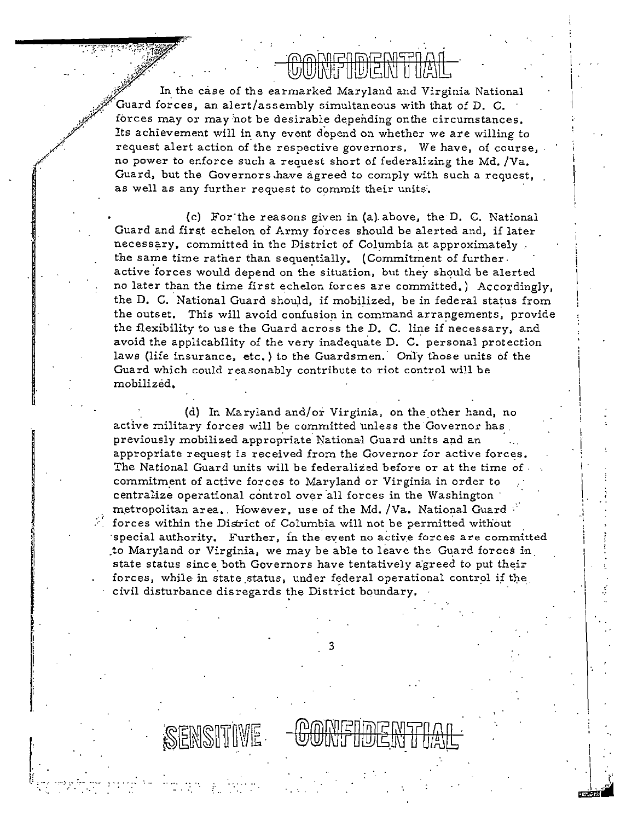In the case of the earmarked Maryland and Virginia National Guard forces, an alert/assembly simultaneous with that of D. C. forces may or may not be desirable depending on the circumstances. Its achievement will in any event depend on whether we are willing to request alert action of the respective governors. We have, of course, no power to enforce such a request short of federalizing the Md. /Va. Guard, but the Governors have agreed to comply with such a request, as well as any further request to commit their units.

**VUULSULSUS SUULSU** 

(c) For the reasons given in (a) above, the D. C. National Guard and first echelon of Army forces should be alerted and, if later necessary, committed in the District of Columbia at approximately the same time rather than sequentially. (Commitment of further. active forces would depend on the situation, but they should be alerted no later than the time first echelon forces are committed.) Accordingly, the D. C. National Guard should, if mobilized, be in federal status from the outset. This will avoid confusion in command arrangements, provide the flexibility to use the Guard across the D. C. line if necessary, and avoid the applicability of the very inadequate D. C. personal protection laws (life insurance, etc.) to the Guardsmen. Only those units of the Guard which could reasonably contribute to riot control will be mobilized.

(d) In Maryland and/or Virginia, on the other hand, no active military forces will be committed unless the Governor has previously mobilized appropriate National Guard units and an appropriate request is received from the Governor for active forces. The National Guard units will be federalized before or at the time of. commitment of active forces to Maryland or Virginia in order to centralize operational control over all forces in the Washington metropolitan area. However, use of the Md. /Va. National Guard forces within the District of Columbia will not be permitted without special authority. Further, in the event no active forces are committed to Maryland or Virginia, we may be able to leave the Guard forces in state status since both Governors have tentatively agreed to put their forces, while in state status, under federal operational control if the civil disturbance disregards the District boundary.

SENSITIVE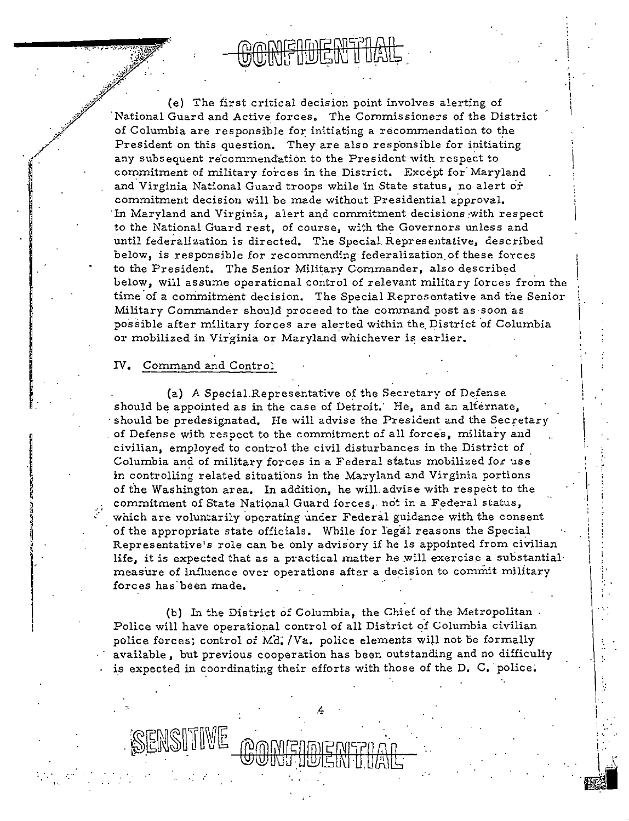!. i I i I

> 'II  $\begin{bmatrix} 1 & 0 \\ 0 & 1 \end{bmatrix}$

( . ,.

 $\mathcal{L}$ 

I ' I I I

 $\overline{\phantom{a}}$ ; ;

: •.

(e) The first critical decision point involves alerting of 'National Guard and Active forces, The Commissioners of the District of Columbia are responsible for initiating a recommendation to the President on this question. They are also responsible for initiating any subsequent recommendation to the President with respect to commitment of military forces in the District. Except for' Maryland and Virginia National Guard troops while in State status, no alert or commitment decision will be made without Presidential approval. In Maryland and Virginia, alert and commitment decisions with respect to the National Guard rest, of course, with the Governors unless and until federalization is directed. The Special. Representative, described below, is responsible for recommending federalization of these forces to the President. The Senior Military Commander, also described below, will assume operational control of relevant military forces from the time of a commitment decision. The Special Representative and the Senior Military Commander should proceed to the command post as ·soon as possible after military forces are alerted within the District of Columbia or mobilized in Virginia or Maryland whichever is earlier.

#### IV. Command and Control

. *:""*/ '• 

 $\mathbf{r}$ 

(a) A Special.Representative of the Secretary of Defense should be appointed as in the case of Detroit.' He, and an alternate, should be predesignated. He will advise the President and the Secretary of Defense with respect to the commitment of all forces, military and civilian, employed to control the civil disturbances in the District of . Columbia and of military forces in a Federal status mobilized for use in controlling related situations in the Maryland and Virginia portions of the Washington area, In addition, he will. advise with respect to the commitment of State National Guard forces, not in a Federal status, which are voluntarily operating under Federal guidance with the consent of the appropriate state officials. While for legal reasons the Special Representative's role can be only advisory if he is appointed from civilian life, it is expected that as a practical matter he will exercise a substantial measure of influence over operations after a decision to commit military forces has'been made.

(b) In the District of Columbia, the Chief of the Metropolitan. Police will have operational control of all District of Columbia civilian police forces; control of Md. /Va. police elements will not be formally available, but previous cooperation has been outstanding and no difficulty is expected in coordinating their efforts with those of the D. C. police.

.4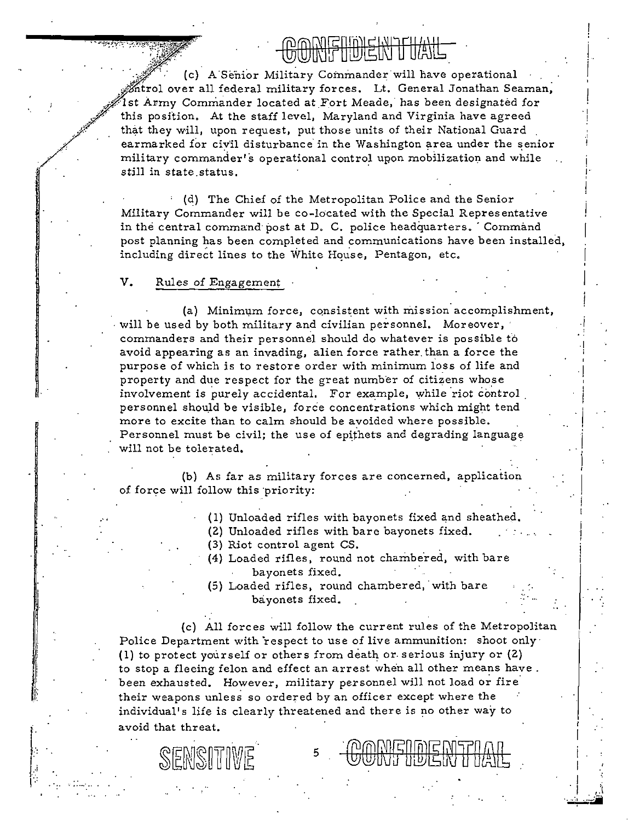,J,;'. (c) A Senior Military Commander will have operational  $\stackrel{\text{\rm def}}{$  firol over all federal military forces. Lt. General Jonathan Seaman, .<br>1st Army Commander located at Fort Meade, has been designated for this position, At the staff level, Maryland and Virginia have agreed that they will, upon request, put those units of their National Guard . earmarked for civil disturbance in the Washington area under the senior military commander's operational control upon mobilization and while still in state status. '

 $\text{HWHHWHH} \rightarrow \text{HWHH} \rightarrow \text{HWHH} \rightarrow \text{HWHH} \rightarrow \text{HWHH} \rightarrow \text{HWHH} \rightarrow \text{HWHH} \rightarrow \text{HWHH} \rightarrow \text{HWHH} \rightarrow \text{HWHH} \rightarrow \text{HHHH} \rightarrow \text{HHHH} \rightarrow \text{HHHH} \rightarrow \text{HHHH} \rightarrow \text{HHHH} \rightarrow \text{HHHH} \rightarrow \text{HHHH} \rightarrow \text{HHHH} \rightarrow \text{HHHH} \rightarrow \text{HHHH} \rightarrow \text{HHHH} \rightarrow \text{HHHH} \rightarrow \text{HHHH} \rightarrow \text{HHHH} \rightarrow \text$ 

 $\left| \right|$ 

·I I

> ! 1· '

i '

I

 $\cdot \mid$ 

 $\parallel$  $\parallel$ i<br>I  $\vert$ I

(d) The Chief of the Metropolitan Police and the Senior Military Commander will be co-located with the Special Representative in the central command post at D. C. police headquarters. Command post planning has been completed and communications have been installed, including direct lines to the White House, Pentagon, etc.

#### V. Rules of Engagement

SEMSIT

·...,,,,,

*,//*·

·

·"

 $\mathcal{E}^{\text{max}}$ 

. / '

> (a) Minimum force, consistent with mission accomplishment, will be used by both military and civilian personnel. Moreover, commanders and their personnel should do whatever is possible fo avoid appearing as an invading, alien force rather. than a force the purpose of which is to restore order with minimum loss of life and property and due respect for the great number of citizens whose involvement is purely accidental. For example, while riot control personnel should be visible, force concentrations which might tend more to excite than to calm should be avoided where possible. Personnel must be civil; the use of epithets and degrading language will not be tolerated.

(b) As far as military forces are concerned, application of force will follow this priority:

- ( 1) Unloaded rifles with bayonets fixed and sheathed.
- (2) Unloaded rifles with bare bayonets fixed.
- (3) Riot control agent CS.
- (4) Loaded rifles, round not chambered, with bare bayonets fixed.
- (5) Loaded rifles, round chambered, with bare bayonets fixed.

(c) All forces will follow the current rules of the Metropolitan Police Department with respect to use of live ammunition: shoot only 1) to protect yourself or others from death or. serious injury or (2) ( to stop a fleeing felon and effect an arrest when all other means have. been exhausted. However, military personnel will not load or fire their weapons unless so ordered by an officer except where the individual's life is clearly threatened and there is no other way to avoid that threat.

5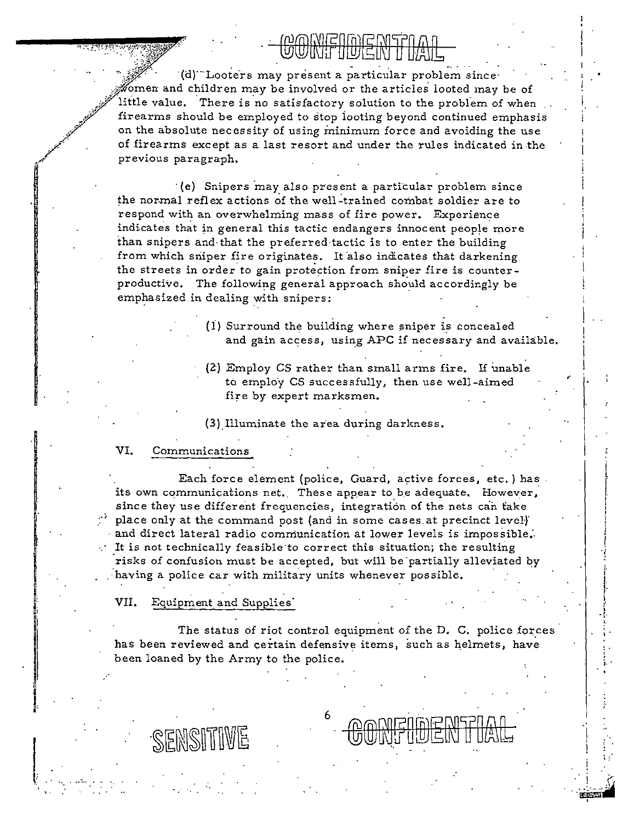UWINI IIU/LIN II IIAIL<br>(d) Looters may present a particular problem since<sup>.</sup> fomen and children may be involved or the articles looted may be of little value. There is no satisfactory solution to the problem of when firearms should be employed to stop looting beyond continued emphasis on the absolute necessity of using minimum force and avoiding the use of firearms except as a last resort and under the rules indicated in the previous paragraph. ,; ;?

· (e) Snipers may also present a particular problem since the normal reflex actions of the well-trained combat soldier are to respond with an overwhelming mass of fire power. Experience indicates that in general this tactic endangers innocent people more. than snipers and· that the preferred·tactic is to enter the building from which sniper fire originates. It also indicates that darkening the streets in order to gain protection from sniper fire is counterproductive. The following general approach should accordingly be emphasized in dealing with snipers:

- $(i)$  Surround the building where sniper is concealed and gain access, using APC if necessary and available.
- (2) Employ CS rather than small arms fire. If unable to employ CS successfully, then use well-aimed fire by expert marksmen.

(3).Illuminate the area during darkness.

### VI. Communications

.

/ /.·

,,,,.

.<br>من

·"

Each force element (police, Guard, active forces, etc.) has its own communications net. These appear to be adequate. However, since they use different frequencies, integration of the nets can take place only at the command post (and in some cases at precinct level) and direct lateral radio communication at lower levels is impossible.<br>It is not technically feasible to correct this situation; the resulting It is not technically feasible·to correct this situation; the resulting It is not technically reasible to correct this situation, the resulting  $\begin{vmatrix} 1 & 0 \\ 0 & 1 \end{vmatrix}$ having a police car with military units whenever possible.

VII. Equipment and Supplies·

SENSITIVE

The status of riot control equipment of the D. C. police forces has been reviewed and certain defensive items, such as helmets, have been loaned by the Army to the police.

6

 $;$  :

I I. î. I I l I i

I  $\mathbf i$ r i

 $\frac{1}{\sqrt{2}}$ : . ' r••

. ii  $\mathcal{L}$ 

-~~ '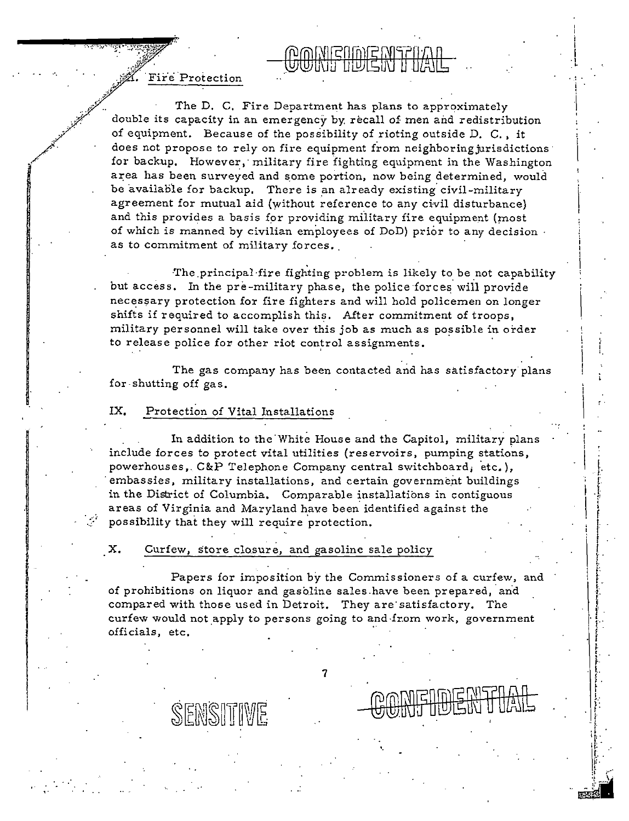*.•X)f·* · Protection ., ~;r·,;

 $\cdot$   $\cdot$ 

:... ~-"·~·· ~·:.-;·.~~~~i"%' . ·'.~<(~. *fltr!"* 

*..*[ ··'

\_ ..~· ..

The D, C, Fire Department has plans to approximately double its capacity in an emergency by: recall of men and redistribution of equipment. Because of the possibility of rioting outside D. C., it does not propose to rely on fire equipment from neighboring urisdictions for backup. However, military fire fighting equipment in the Washington area has been surveyed and some portion, now being determined, would be available for backup. There is an already existing civil-military agreement for mutual aid (without reference to any civil disturbance) and this provides a basis for providing military fire equipment (most of which is manned by civilian employees of DoD) prior to any decision as to commitment of military forces.

**MAMENAEMERIAN** 

; I I ·I

·' .  $\mathbf{r}$  .

> ~ ~. f l. ! t !. /: 1· .. ~ I!. i  $\ddot{\mathbf{r}}$  .  $\mathbb{I}$  :

l. . '· [. .}; i<br>! f I. I  $\begin{bmatrix} 1 \\ 1 \end{bmatrix}$ .. L I t . .. l . I ' r<br>' r<br>' r<br>' r ' '

I!' Jii

The principal fire fighting problem is likely to be not capability but access. In the pre-military phase, the police forces will provide necessary protection for fire fighters and will hold policemen on longer shifts if required to accomplish this. After commitment of troops, military personnel will take over this job as much as possible in order to release police for other riot control assignments.

The gas company has been contacted and has satisfactory plans for shutting off gas.

#### IX. Protection of Vital Installations

SENSITIVE

In addition to the White House and the Capitol, military plans include forces to protect vital utilities (reservoirs, pumping stations, powerhouses, C&P Telephone Company central switchboard, etc.), embassies, military installations, and certain government buildings in the District of Columbia. Comparable installations in contiguous areas of Virginia and Maryland have been identified against the possibility that they will require protection.

 $\cdot$   $\cdot$   $\cdot$ 

·

#### X. Curfew, store closure, and gasoline sale policy

Papers for imposition by the Commissioners of a curfew, and of prohibitions on liquor and gasoline sales have been prepared, and compared with those used in Detroit. They are· satisfactory. The curfew would not apply to persons going to and from work, government officials, etc.

7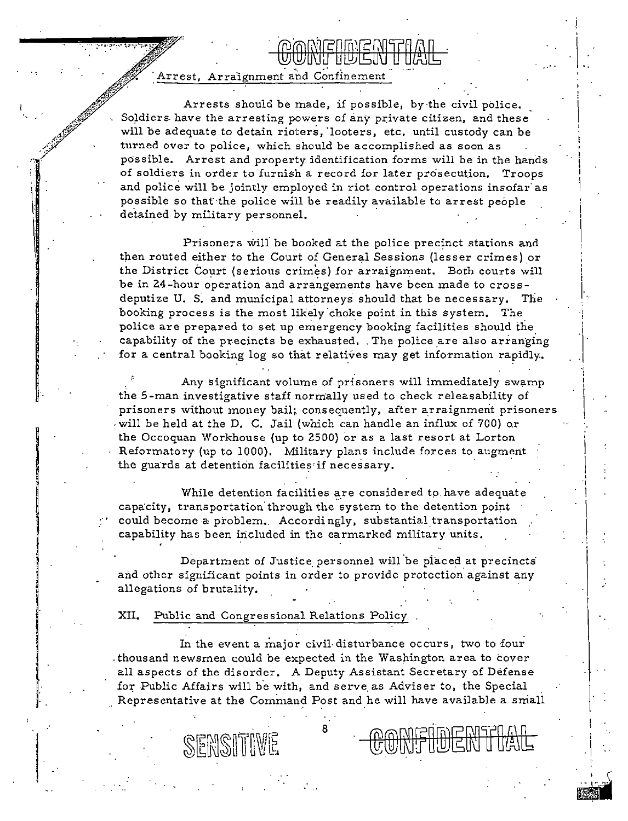### Arrest, Arraignment and Confinement

 $\prod_{i=1}^n$ l

> $\frac{1}{2}$ ''

> > ···

Arrests should be made, if possible, by·the civil police. Soldiers have the arresting powers of any private citizen, and these will be adequate to detain rioters, "looters, etc. until custody can be turned over to police, which should be accomplished as soon as possible. Arrest and property identification forms will be in the hands of soldiers in order to furnish a record for later prosecution. Troops and police will be jointly employed in riot control operations insofar as possible so that the police will be readily available to arrest people detained by military personnel.

<u>www.grwa.gr</u> NI IIVISIN

Prisoners wili be booked at the police precinct stations and then routed either to the Court of General Sessions (lesser crimes) or the District Court (serious crimes) for arraignment. Both courts will be in 24-hour operation and arrangements have been made to cross deputize U. S. and municipal attorneys should that be necessary. The booking process is the most likely choke point in this system. The police are prepared to set up emergency booking facilities should the capability of the precincts be exhausted. . The police are also arranging for a central booking log so that relatives may get information rapidly.

Any significant volume of prisoners will immediately swamp the 5-man investigative staff normally used to check releasability of prisoners without money bail; consequently, after arraignment prisoners will be held at the D. C. Jail (which can handle an influx of 700) or the Occoquan Workhouse (up to 2500) or as a last resort at Lorton Reformatory (up to 1000). Military plans include forces to augment the guards at detention iacilities·if necessary.

While detention facilities are considered to have adequate capacity, transportation through the system to the detention point could become a problem. Accordingly, substantial transportation capability has been included in the earmarked military units.

Department of Justice personnel will be placed at precincts and other significant points in order to provide protection against any allegations of brutality.

XII. Public and Congressional Relations Policy

SEMSITIVE

In the event a major civil disturbance occurs, two to four . thousand newsmen could be expected in the Washington area to cover all aspects of the disorder. A Deputy Assistant Secretary of Defense for Public Affairs will be with, and serve as Adviser to, the Special Representative at the Command Post and he will have available a small

8

 $\vert$ 

•

'<br>I

I.

' i  $\left| \cdot \right|$ ., !<br>!

> .,' !

> > $\vert$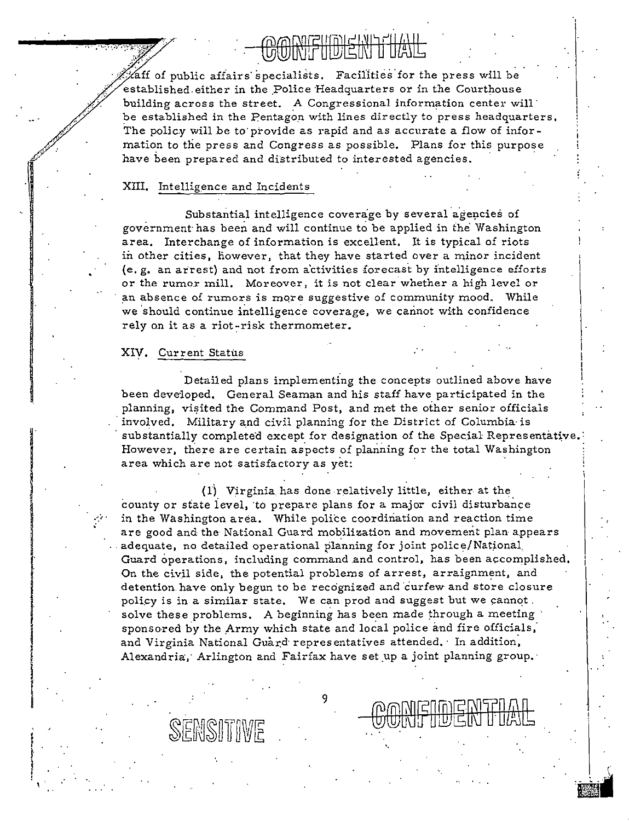aff of public affairs specialists. Facilities for the press will be established either in the Police Headquarters or in the Courthouse building across the street. A Congressional information center will be established in the Pentagon with lines directly to press headquarters. The policy will be to provide as rapid and as accurate a flow of information to the press and Congress as possible. Plans for this purpose have been prepared and distributed to interested agencies.

#### XIII. Intelligence and Incidents

Substantial intelligence coverage by several agencies of government has been and will continue to be applied in the Washington area. Interchange of information is excellent. It is typical of riots in other cities, however, that they have started over a minor incident (e.g. an arrest) and not from activities forecast by intelligence efforts or the rumor mill. Moreover, it is not clear whether a high level or an absence of rumors is more suggestive of community mood. While we should continue intelligence coverage, we cannot with confidence rely on it as a riot-risk thermometer.

#### XIV. Current Status

SEMSIT

Detailed plans implementing the concepts outlined above have been developed. General Seaman and his staff have participated in the planning, visited the Command Post, and met the other senior officials involved. Military and civil planning for the District of Columbia is substantially completed except for designation of the Special Representative However, there are certain aspects of planning for the total Washington area which are not satisfactory as yet:

(1) Virginia has done relatively little, either at the county or state level, to prepare plans for a major civil disturbance in the Washington area. While police coordination and reaction time are good and the National Guard mobilization and movement plan appears adequate, no detailed operational planning for joint police/National Guard operations, including command and control, has been accomplished. On the civil side, the potential problems of arrest, arraignment, and detention have only begun to be recognized and curfew and store closure policy is in a similar state. We can prod and suggest but we cannot. solve these problems. A beginning has been made through a meeting sponsored by the Army which state and local police and fire officials, and Virginia National Guard representatives attended. In addition, Alexandria, Arlington and Fairfax have set up a joint planning group.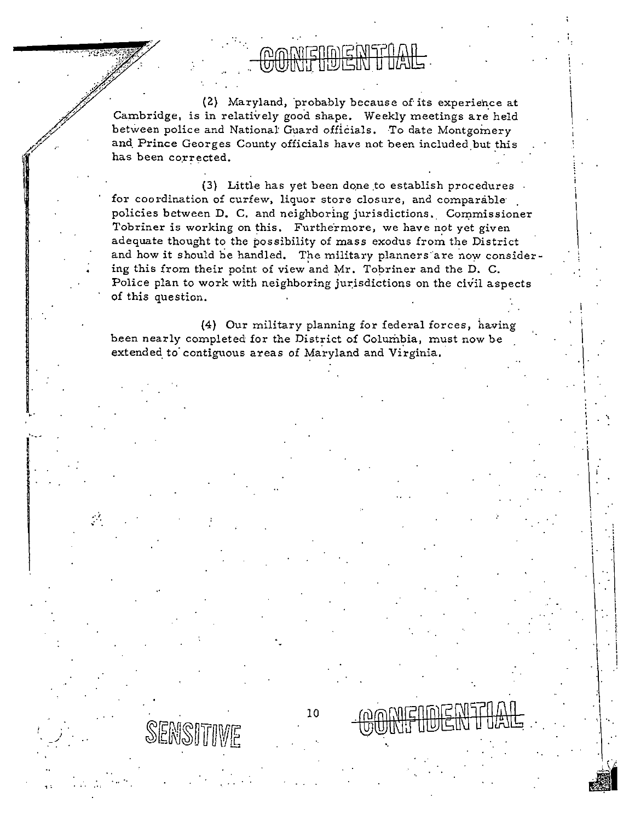(2) Maryland, probably because of its experience at Cambridge, is in relatively good shape. Weekly meetings are held between police and National Guard officials. To date Montgomery and Prince Georges County officials have not been included but this has been corrected.

الأراح انقلتكتهن

(3) Little has yet been done to establish procedures. for coordination of curfew, liquor store closure, and comparable policies between D. C. and neighboring jurisdictions. Commissioner Tobriner is working on this. Furthermore, we have not yet given adequate thought to the possibility of mass exodus from the District and how it should be handled. The military planners are now considering this from their point of view and Mr. Tobriner and the D. C. Police plan to work with neighboring jurisdictions on the civil aspects of this question.

(4) Our military planning for federal forces, having been nearly completed for the District of Columbia, must now be extended to contiguous areas of Maryland and Virginia.

10

SENSITIWE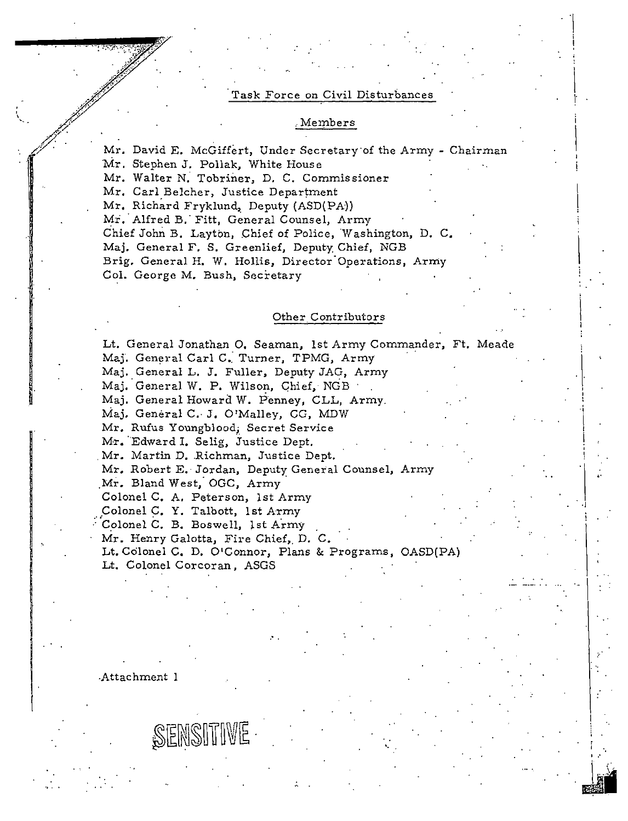#### Task Force on Civil Disturbances

 $\begin{matrix} \n\vdots \\
\vdots \\
\vdots\n\end{matrix}$ 1·

> $\mathbf i$ I

. I ·I

i<br>! .

#### .Me1nbers

Mr. David E. McGiffert, Under Secretary of the Army - Chairman 'Mr. Stephen J. Pollak, White House

Mr. Walter N: Tobriner, D. C. Commissioner

Mr. Carl.Belcher, Justice Department

Mr. Richard Fryklund, Deputy (ASD(PA))

Mr. Alfred B. Fitt, General Counsel, Army Chief John B. Layton, Chief of Police, Washington, D. C, Maj. General F. S. Greenlief, Deputy Chief, NGB Brig, General H. W. Hollis, Director Operations, Army Col. George M. Bush, Secretary

#### Other Contributors

Lt. General Jonathan 0, Seaman, 1st Army Commander, Ft. Meade Maj. General Carl C. Turner, TPMG, Army Maj. General L. J. Fuller, Deputy JAG, Army Maj. General W. P. Wilson, Ghief, NGB Maj. General Howard W. Penney, CLL, Army. Maj. General C. J. O'Malley, CG, MDW Mr. Rufus Youngblood; Secret Service Mr. Edward I. Selig, Justice Dept. Mr. Martin D. Richman, Justice Dept. Mr. Robert E.- Jordan, Deputy General Counsel, Army Mr. Bland West; OGC, Army. Colonel C, A. Peterson, !st Army Colonel C. Y. Talbott, 1st Army Colonel C. B. Boswell, 1st Army Mr. Henry Galotta, Fire Chief, D. C. Lt. Colonel C, D. O'Connor, Plans & Programs, OASD(PA) Lt. Colonel Corcoran, ASGS

•.

-Attachment 1

SENSITIVE

.